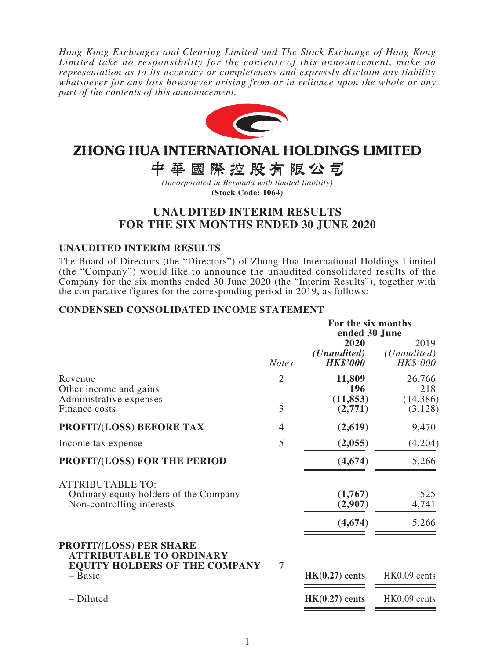*Hong Kong Exchanges and Clearing Limited and The Stock Exchange of Hong Kong Limited take no responsibility for the contents of this announcement, make no representation as to its accuracy or completeness and expressly disclaim any liability whatsoever for any loss howsoever arising from or in reliance upon the whole or any part of the contents of this announcement.*



# ZHONG HUA INTERNATIONAL HOLDINGS LIMITED

中華國際控股有限公司

*(Incorporated in Bermuda with limited liability)* **(Stock Code: 1064)**

# **UNAUDITED INTERIM RESULTS FOR THE SIX MONTHS ENDED 30 JUNE 2020**

### **UNAUDITED INTERIM RESULTS**

The Board of Directors (the "Directors") of Zhong Hua International Holdings Limited (the "Company") would like to announce the unaudited consolidated results of the Company for the six months ended 30 June 2020 (the "Interim Results"), together with the comparative figures for the corresponding period in 2019, as follows:

### **CONDENSED CONSOLIDATED INCOME STATEMENT**

|                                                                                                           |                | For the six months<br>ended 30 June             |                                          |
|-----------------------------------------------------------------------------------------------------------|----------------|-------------------------------------------------|------------------------------------------|
|                                                                                                           | <b>Notes</b>   | 2020<br>( <i>Unaudited</i> )<br><b>HK\$'000</b> | 2019<br>( <i>Unaudited</i> )<br>HK\$'000 |
| Revenue<br>Other income and gains<br>Administrative expenses                                              | $\overline{2}$ | 11,809<br>196<br>(11, 853)                      | 26,766<br>218<br>(14, 386)               |
| Finance costs                                                                                             | 3              | (2,771)                                         | (3,128)                                  |
| PROFIT/(LOSS) BEFORE TAX                                                                                  | 4              | (2,619)                                         | 9,470                                    |
| Income tax expense                                                                                        | 5              | (2,055)                                         | (4,204)                                  |
| PROFIT/(LOSS) FOR THE PERIOD                                                                              |                | (4,674)                                         | 5,266                                    |
| <b>ATTRIBUTABLE TO:</b><br>Ordinary equity holders of the Company<br>Non-controlling interests            |                | (1,767)<br>(2,907)                              | 525<br>4,741                             |
|                                                                                                           |                | (4, 674)                                        | 5,266                                    |
| <b>PROFIT/(LOSS) PER SHARE</b><br><b>ATTRIBUTABLE TO ORDINARY</b><br><b>EQUITY HOLDERS OF THE COMPANY</b> | 7              |                                                 |                                          |
| - Basic                                                                                                   |                | $HK(0.27)$ cents                                | HK0.09 cents                             |
| - Diluted                                                                                                 |                | $HK(0.27)$ cents                                | HK0.09 cents                             |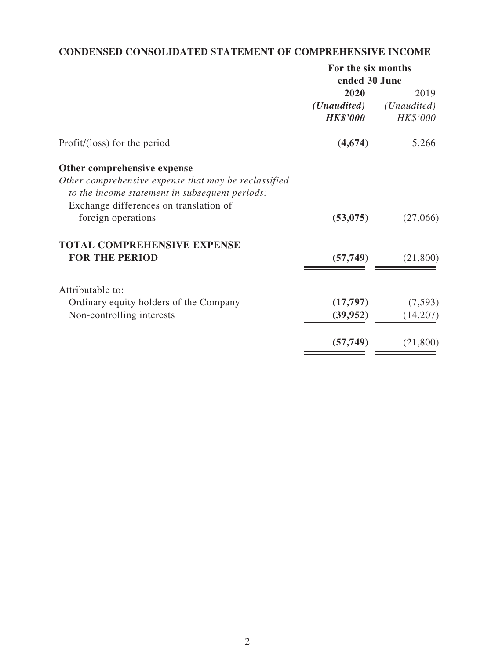# **CONDENSED CONSOLIDATED STATEMENT OF COMPREHENSIVE INCOME**

| For the six months   |                      |  |
|----------------------|----------------------|--|
| ended 30 June        |                      |  |
| 2020                 | 2019                 |  |
| ( <i>Unaudited</i> ) | ( <i>Unaudited</i> ) |  |
| <b>HK\$'000</b>      | HK\$'000             |  |
| (4,674)              | 5,266                |  |
|                      |                      |  |
|                      |                      |  |
|                      |                      |  |
|                      |                      |  |
| (53,075)             | (27,066)             |  |
|                      |                      |  |
| (57, 749)            | (21,800)             |  |
|                      |                      |  |
|                      | (7, 593)             |  |
| (39, 952)            | (14,207)             |  |
| (57, 749)            | (21, 800)            |  |
|                      | (17, 797)            |  |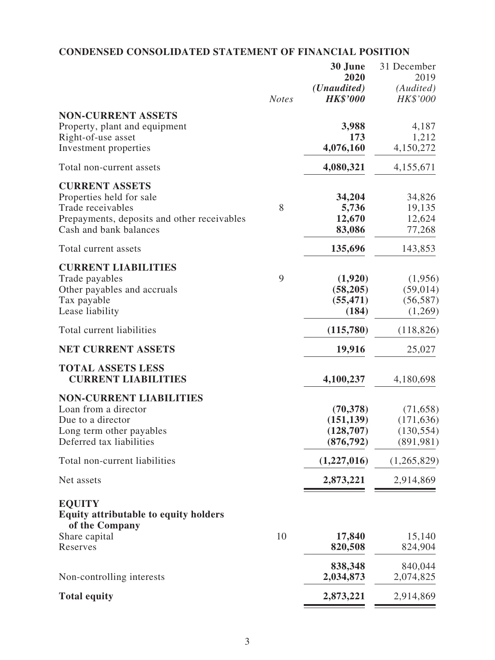# **CONDENSED CONSOLIDATED STATEMENT OF FINANCIAL POSITION**

|                                                               |              | 30 June<br>2020<br>( <i>Unaudited</i> ) | 31 December<br>2019<br>(Audited) |
|---------------------------------------------------------------|--------------|-----------------------------------------|----------------------------------|
|                                                               | <b>Notes</b> | <b>HK\$'000</b>                         | HK\$'000                         |
| <b>NON-CURRENT ASSETS</b>                                     |              |                                         |                                  |
| Property, plant and equipment<br>Right-of-use asset           |              | 3,988<br>173                            | 4,187<br>1,212                   |
| Investment properties                                         |              | 4,076,160                               | 4,150,272                        |
| Total non-current assets                                      |              | 4,080,321                               | 4,155,671                        |
| <b>CURRENT ASSETS</b>                                         |              |                                         |                                  |
| Properties held for sale                                      |              | 34,204                                  | 34,826                           |
| Trade receivables                                             | 8            | 5,736                                   | 19,135                           |
| Prepayments, deposits and other receivables                   |              | 12,670                                  | 12,624                           |
| Cash and bank balances                                        |              | 83,086                                  | 77,268                           |
| Total current assets                                          |              | 135,696                                 | 143,853                          |
| <b>CURRENT LIABILITIES</b>                                    |              |                                         |                                  |
| Trade payables<br>Other payables and accruals                 | 9            | (1,920)<br>(58, 205)                    | (1,956)<br>(59, 014)             |
| Tax payable                                                   |              | (55, 471)                               | (56, 587)                        |
| Lease liability                                               |              | (184)                                   | (1,269)                          |
| Total current liabilities                                     |              | (115,780)                               | (118, 826)                       |
| <b>NET CURRENT ASSETS</b>                                     |              | 19,916                                  | 25,027                           |
| <b>TOTAL ASSETS LESS</b>                                      |              |                                         |                                  |
| <b>CURRENT LIABILITIES</b>                                    |              | 4,100,237                               | 4,180,698                        |
| <b>NON-CURRENT LIABILITIES</b>                                |              |                                         |                                  |
| Loan from a director                                          |              | (70, 378)                               | (71, 658)                        |
| Due to a director<br>Long term other payables                 |              | (151, 139)<br>(128, 707)                | (171, 636)<br>(130, 554)         |
| Deferred tax liabilities                                      |              | (876, 792)                              | (891, 981)                       |
| Total non-current liabilities                                 |              | (1,227,016)                             | (1,265,829)                      |
| Net assets                                                    |              | 2,873,221                               | 2,914,869                        |
| <b>EQUITY</b><br><b>Equity attributable to equity holders</b> |              |                                         |                                  |
| of the Company                                                |              |                                         |                                  |
| Share capital                                                 | 10           | 17,840                                  | 15,140                           |
| Reserves                                                      |              | 820,508                                 | 824,904                          |
|                                                               |              | 838,348                                 | 840,044                          |
| Non-controlling interests                                     |              | 2,034,873                               | 2,074,825                        |
| <b>Total equity</b>                                           |              | 2,873,221                               | 2,914,869                        |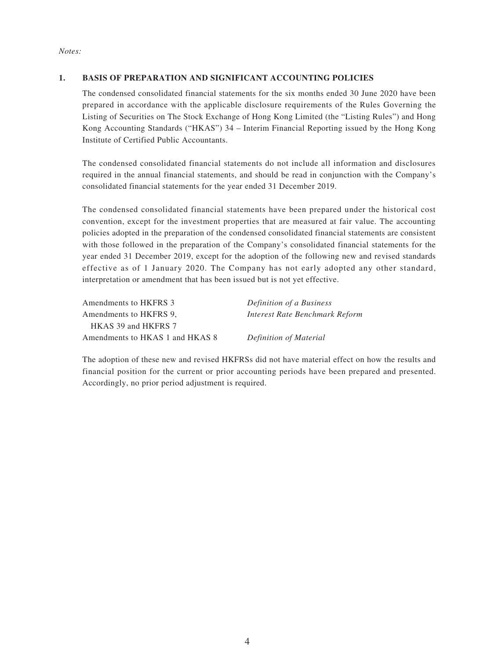#### *Notes:*

### **1. BASIS OF PREPARATION AND SIGNIFICANT ACCOUNTING POLICIES**

The condensed consolidated financial statements for the six months ended 30 June 2020 have been prepared in accordance with the applicable disclosure requirements of the Rules Governing the Listing of Securities on The Stock Exchange of Hong Kong Limited (the "Listing Rules") and Hong Kong Accounting Standards ("HKAS") 34 – Interim Financial Reporting issued by the Hong Kong Institute of Certified Public Accountants.

The condensed consolidated financial statements do not include all information and disclosures required in the annual financial statements, and should be read in conjunction with the Company's consolidated financial statements for the year ended 31 December 2019.

The condensed consolidated financial statements have been prepared under the historical cost convention, except for the investment properties that are measured at fair value. The accounting policies adopted in the preparation of the condensed consolidated financial statements are consistent with those followed in the preparation of the Company's consolidated financial statements for the year ended 31 December 2019, except for the adoption of the following new and revised standards effective as of 1 January 2020. The Company has not early adopted any other standard, interpretation or amendment that has been issued but is not yet effective.

| Amendments to HKFRS 3           | Definition of a Business       |
|---------------------------------|--------------------------------|
| Amendments to HKFRS 9.          | Interest Rate Benchmark Reform |
| HKAS 39 and HKFRS 7             |                                |
| Amendments to HKAS 1 and HKAS 8 | Definition of Material         |

The adoption of these new and revised HKFRSs did not have material effect on how the results and financial position for the current or prior accounting periods have been prepared and presented. Accordingly, no prior period adjustment is required.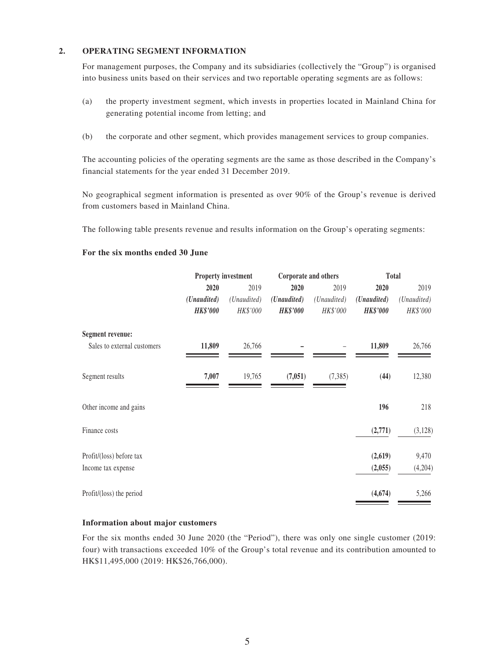#### **2. OPERATING SEGMENT INFORMATION**

For management purposes, the Company and its subsidiaries (collectively the "Group") is organised into business units based on their services and two reportable operating segments are as follows:

- (a) the property investment segment, which invests in properties located in Mainland China for generating potential income from letting; and
- (b) the corporate and other segment, which provides management services to group companies.

The accounting policies of the operating segments are the same as those described in the Company's financial statements for the year ended 31 December 2019.

No geographical segment information is presented as over 90% of the Group's revenue is derived from customers based in Mainland China.

The following table presents revenue and results information on the Group's operating segments:

#### **For the six months ended 30 June**

|                             |                 | <b>Property investment</b><br>Corporate and others |                 |             |                 | Total       |
|-----------------------------|-----------------|----------------------------------------------------|-----------------|-------------|-----------------|-------------|
|                             | 2020            | 2019                                               | 2020            | 2019        | 2020            | 2019        |
|                             | (Unaudited)     | (Unaudited)                                        | (Unaudited)     | (Unaudited) | (Unaudited)     | (Unaudited) |
|                             | <b>HK\$'000</b> | HK\$'000                                           | <b>HK\$'000</b> | HK\$'000    | <b>HK\$'000</b> | HK\$'000    |
| <b>Segment revenue:</b>     |                 |                                                    |                 |             |                 |             |
| Sales to external customers | 11,809          | 26,766                                             |                 |             | 11,809          | 26,766      |
| Segment results             | 7,007           | 19,765                                             | (7,051)         | (7, 385)    | (44)            | 12,380      |
| Other income and gains      |                 |                                                    |                 |             | 196             | 218         |
| Finance costs               |                 |                                                    |                 |             | (2,771)         | (3, 128)    |
| Profit/(loss) before tax    |                 |                                                    |                 |             | (2,619)         | 9,470       |
| Income tax expense          |                 |                                                    |                 |             | (2,055)         | (4,204)     |
| Profit/(loss) the period    |                 |                                                    |                 |             | (4, 674)        | 5,266       |

#### **Information about major customers**

For the six months ended 30 June 2020 (the "Period"), there was only one single customer (2019: four) with transactions exceeded 10% of the Group's total revenue and its contribution amounted to HK\$11,495,000 (2019: HK\$26,766,000).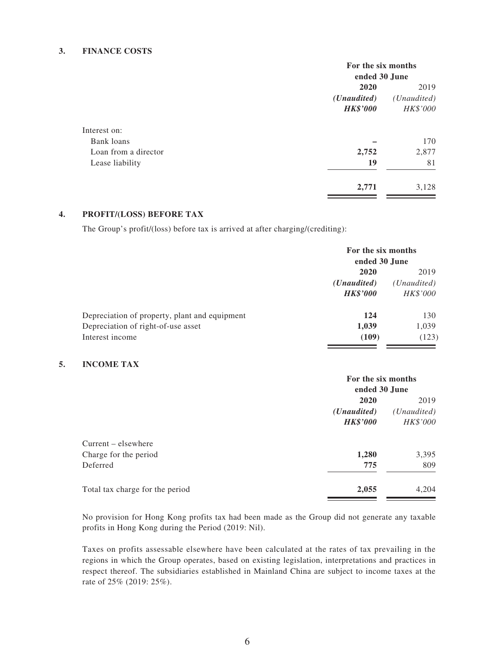#### **3. FINANCE COSTS**

|                      | For the six months<br>ended 30 June |                      |
|----------------------|-------------------------------------|----------------------|
|                      |                                     |                      |
|                      | 2020                                |                      |
|                      | ( <i>Unaudited</i> )                | ( <i>Unaudited</i> ) |
|                      | <b>HK\$'000</b>                     | HK\$'000             |
| Interest on:         |                                     |                      |
| Bank loans           |                                     | 170                  |
| Loan from a director | 2,752                               | 2,877                |
| Lease liability      | 19                                  | 81                   |
|                      | 2,771                               | 3,128                |

#### **4. PROFIT/(LOSS) BEFORE TAX**

The Group's profit/(loss) before tax is arrived at after charging/(crediting):

|                                               | For the six months<br>ended 30 June |                      |
|-----------------------------------------------|-------------------------------------|----------------------|
|                                               | 2020<br>2019                        |                      |
|                                               | ( <i>Unaudited</i> )                | ( <i>Unaudited</i> ) |
|                                               | <b>HK\$'000</b>                     | HK\$'000             |
| Depreciation of property, plant and equipment | 124                                 | 130                  |
| Depreciation of right-of-use asset            | 1,039                               | 1,039                |
| Interest income                               | (109)                               | (123)                |

#### **5. INCOME TAX**

|                                 | For the six months   |             |  |
|---------------------------------|----------------------|-------------|--|
|                                 | ended 30 June        |             |  |
|                                 | 2020                 |             |  |
|                                 | ( <i>Unaudited</i> ) | (Unaudited) |  |
|                                 | <b>HK\$'000</b>      | HK\$'000    |  |
| $Current - elsewhere$           |                      |             |  |
| Charge for the period           | 1,280                | 3,395       |  |
| Deferred                        | 775                  | 809         |  |
| Total tax charge for the period | 2,055                | 4,204       |  |

No provision for Hong Kong profits tax had been made as the Group did not generate any taxable profits in Hong Kong during the Period (2019: Nil).

Taxes on profits assessable elsewhere have been calculated at the rates of tax prevailing in the regions in which the Group operates, based on existing legislation, interpretations and practices in respect thereof. The subsidiaries established in Mainland China are subject to income taxes at the rate of 25% (2019: 25%).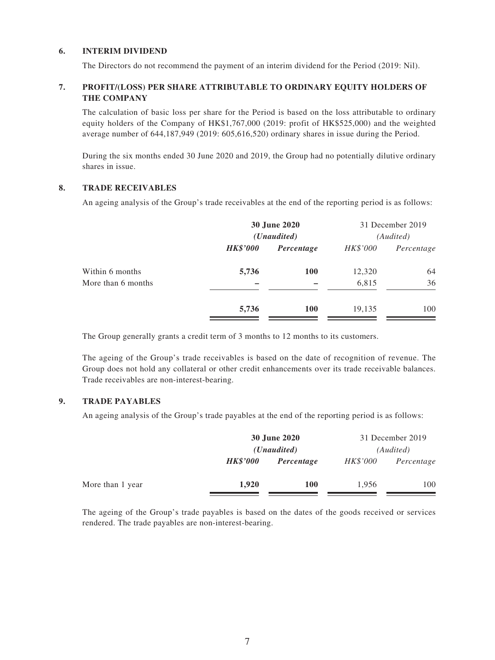#### **6. INTERIM DIVIDEND**

The Directors do not recommend the payment of an interim dividend for the Period (2019: Nil).

### **7. PROFIT/(LOSS) PER SHARE ATTRIBUTABLE TO ORDINARY EQUITY HOLDERS OF THE COMPANY**

The calculation of basic loss per share for the Period is based on the loss attributable to ordinary equity holders of the Company of HK\$1,767,000 (2019: profit of HK\$525,000) and the weighted average number of 644,187,949 (2019: 605,616,520) ordinary shares in issue during the Period.

During the six months ended 30 June 2020 and 2019, the Group had no potentially dilutive ordinary shares in issue.

#### **8. TRADE RECEIVABLES**

An ageing analysis of the Group's trade receivables at the end of the reporting period is as follows:

|                 |            |                                      | 31 December 2019<br>(Audited) |
|-----------------|------------|--------------------------------------|-------------------------------|
| <b>HK\$'000</b> | Percentage | HK\$'000                             | Percentage                    |
| 5,736           | <b>100</b> | 12,320                               | 64                            |
|                 |            | 6,815                                | 36                            |
| 5,736           | <b>100</b> | 19,135                               | 100                           |
|                 |            | 30 June 2020<br>( <i>Unaudited</i> ) |                               |

The Group generally grants a credit term of 3 months to 12 months to its customers.

The ageing of the Group's trade receivables is based on the date of recognition of revenue. The Group does not hold any collateral or other credit enhancements over its trade receivable balances. Trade receivables are non-interest-bearing.

#### **9. TRADE PAYABLES**

An ageing analysis of the Group's trade payables at the end of the reporting period is as follows:

|                  |                 | 30 June 2020<br>( <i>Unaudited</i> ) |                 | 31 December 2019<br>(Audited) |
|------------------|-----------------|--------------------------------------|-----------------|-------------------------------|
|                  | <b>HK\$'000</b> | Percentage                           | <i>HK\$'000</i> | Percentage                    |
| More than 1 year | 1,920           | <b>100</b>                           | 1,956           | 100                           |

The ageing of the Group's trade payables is based on the dates of the goods received or services rendered. The trade payables are non-interest-bearing.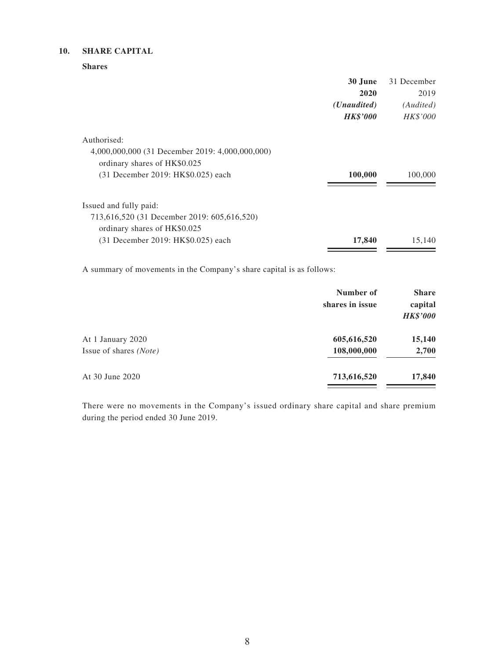#### **10. SHARE CAPITAL**

**Shares**

|                                                 | 30 June              | 31 December |
|-------------------------------------------------|----------------------|-------------|
|                                                 | 2020                 | 2019        |
|                                                 | ( <i>Unaudited</i> ) | (Audited)   |
|                                                 | <b>HK\$'000</b>      | HK\$'000    |
| Authorised:                                     |                      |             |
| 4,000,000,000 (31 December 2019: 4,000,000,000) |                      |             |
| ordinary shares of HK\$0.025                    |                      |             |
| (31 December 2019: HK\$0.025) each              | 100,000              | 100,000     |
| Issued and fully paid:                          |                      |             |
| 713,616,520 (31 December 2019: 605,616,520)     |                      |             |
| ordinary shares of HK\$0.025                    |                      |             |
| (31 December 2019: HK\$0.025) each              | 17,840               | 15,140      |

A summary of movements in the Company's share capital is as follows:

|                        | Number of<br>shares in issue | <b>Share</b><br>capital<br><b>HK\$'000</b> |
|------------------------|------------------------------|--------------------------------------------|
| At 1 January 2020      | 605,616,520                  | 15,140                                     |
| Issue of shares (Note) | 108,000,000                  | 2,700                                      |
| At 30 June 2020        | 713,616,520                  | 17,840                                     |

There were no movements in the Company's issued ordinary share capital and share premium during the period ended 30 June 2019.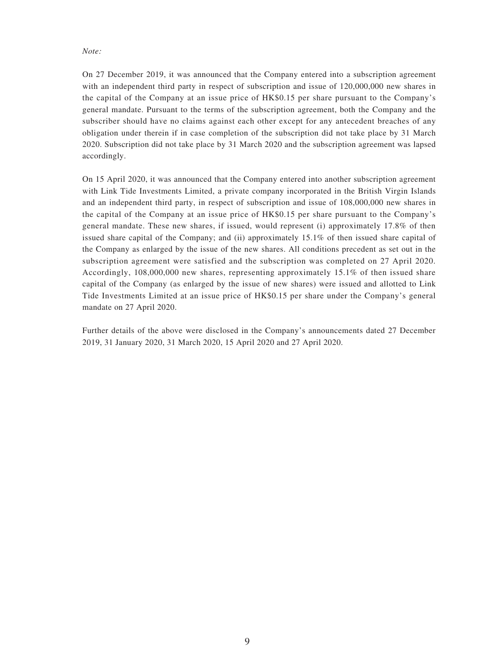*Note:*

On 27 December 2019, it was announced that the Company entered into a subscription agreement with an independent third party in respect of subscription and issue of 120,000,000 new shares in the capital of the Company at an issue price of HK\$0.15 per share pursuant to the Company's general mandate. Pursuant to the terms of the subscription agreement, both the Company and the subscriber should have no claims against each other except for any antecedent breaches of any obligation under therein if in case completion of the subscription did not take place by 31 March 2020. Subscription did not take place by 31 March 2020 and the subscription agreement was lapsed accordingly.

On 15 April 2020, it was announced that the Company entered into another subscription agreement with Link Tide Investments Limited, a private company incorporated in the British Virgin Islands and an independent third party, in respect of subscription and issue of 108,000,000 new shares in the capital of the Company at an issue price of HK\$0.15 per share pursuant to the Company's general mandate. These new shares, if issued, would represent (i) approximately 17.8% of then issued share capital of the Company; and (ii) approximately 15.1% of then issued share capital of the Company as enlarged by the issue of the new shares. All conditions precedent as set out in the subscription agreement were satisfied and the subscription was completed on 27 April 2020. Accordingly, 108,000,000 new shares, representing approximately 15.1% of then issued share capital of the Company (as enlarged by the issue of new shares) were issued and allotted to Link Tide Investments Limited at an issue price of HK\$0.15 per share under the Company's general mandate on 27 April 2020.

Further details of the above were disclosed in the Company's announcements dated 27 December 2019, 31 January 2020, 31 March 2020, 15 April 2020 and 27 April 2020.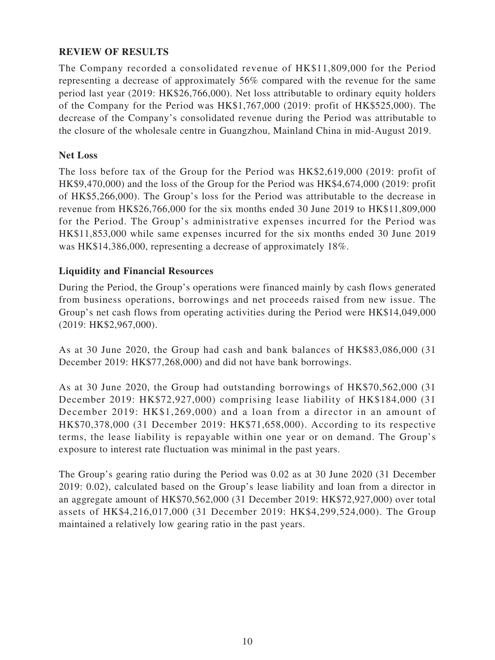### **REVIEW OF RESULTS**

The Company recorded a consolidated revenue of HK\$11,809,000 for the Period representing a decrease of approximately 56% compared with the revenue for the same period last year (2019: HK\$26,766,000). Net loss attributable to ordinary equity holders of the Company for the Period was HK\$1,767,000 (2019: profit of HK\$525,000). The decrease of the Company's consolidated revenue during the Period was attributable to the closure of the wholesale centre in Guangzhou, Mainland China in mid-August 2019.

### **Net Loss**

The loss before tax of the Group for the Period was HK\$2,619,000 (2019: profit of HK\$9,470,000) and the loss of the Group for the Period was HK\$4,674,000 (2019: profit of HK\$5,266,000). The Group's loss for the Period was attributable to the decrease in revenue from HK\$26,766,000 for the six months ended 30 June 2019 to HK\$11,809,000 for the Period. The Group's administrative expenses incurred for the Period was HK\$11,853,000 while same expenses incurred for the six months ended 30 June 2019 was HK\$14,386,000, representing a decrease of approximately 18%.

### **Liquidity and Financial Resources**

During the Period, the Group's operations were financed mainly by cash flows generated from business operations, borrowings and net proceeds raised from new issue. The Group's net cash flows from operating activities during the Period were HK\$14,049,000 (2019: HK\$2,967,000).

As at 30 June 2020, the Group had cash and bank balances of HK\$83,086,000 (31 December 2019: HK\$77,268,000) and did not have bank borrowings.

As at 30 June 2020, the Group had outstanding borrowings of HK\$70,562,000 (31 December 2019: HK\$72,927,000) comprising lease liability of HK\$184,000 (31 December 2019: HK\$1,269,000) and a loan from a director in an amount of HK\$70,378,000 (31 December 2019: HK\$71,658,000). According to its respective terms, the lease liability is repayable within one year or on demand. The Group's exposure to interest rate fluctuation was minimal in the past years.

The Group's gearing ratio during the Period was 0.02 as at 30 June 2020 (31 December 2019: 0.02), calculated based on the Group's lease liability and loan from a director in an aggregate amount of HK\$70,562,000 (31 December 2019: HK\$72,927,000) over total assets of HK\$4,216,017,000 (31 December 2019: HK\$4,299,524,000). The Group maintained a relatively low gearing ratio in the past years.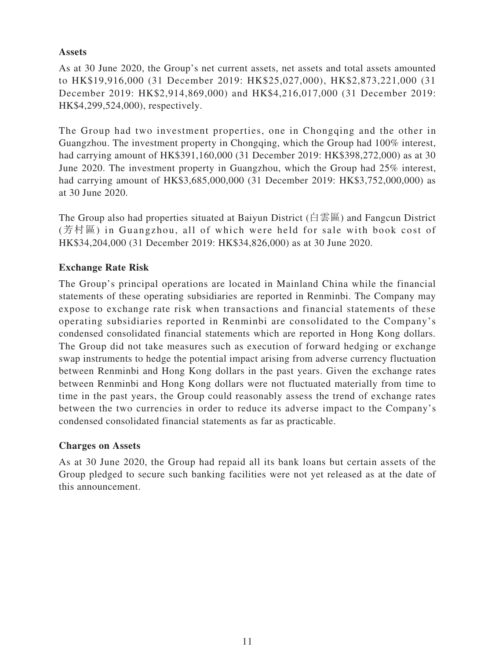### **Assets**

As at 30 June 2020, the Group's net current assets, net assets and total assets amounted to HK\$19,916,000 (31 December 2019: HK\$25,027,000), HK\$2,873,221,000 (31 December 2019: HK\$2,914,869,000) and HK\$4,216,017,000 (31 December 2019: HK\$4,299,524,000), respectively.

The Group had two investment properties, one in Chongqing and the other in Guangzhou. The investment property in Chongqing, which the Group had 100% interest, had carrying amount of HK\$391,160,000 (31 December 2019: HK\$398,272,000) as at 30 June 2020. The investment property in Guangzhou, which the Group had 25% interest, had carrying amount of HK\$3,685,000,000 (31 December 2019: HK\$3,752,000,000) as at 30 June 2020.

The Group also had properties situated at Baiyun District (白雲區) and Fangcun District (芳村區) in Guangzhou, all of which were held for sale with book cost of HK\$34,204,000 (31 December 2019: HK\$34,826,000) as at 30 June 2020.

# **Exchange Rate Risk**

The Group's principal operations are located in Mainland China while the financial statements of these operating subsidiaries are reported in Renminbi. The Company may expose to exchange rate risk when transactions and financial statements of these operating subsidiaries reported in Renminbi are consolidated to the Company's condensed consolidated financial statements which are reported in Hong Kong dollars. The Group did not take measures such as execution of forward hedging or exchange swap instruments to hedge the potential impact arising from adverse currency fluctuation between Renminbi and Hong Kong dollars in the past years. Given the exchange rates between Renminbi and Hong Kong dollars were not fluctuated materially from time to time in the past years, the Group could reasonably assess the trend of exchange rates between the two currencies in order to reduce its adverse impact to the Company's condensed consolidated financial statements as far as practicable.

### **Charges on Assets**

As at 30 June 2020, the Group had repaid all its bank loans but certain assets of the Group pledged to secure such banking facilities were not yet released as at the date of this announcement.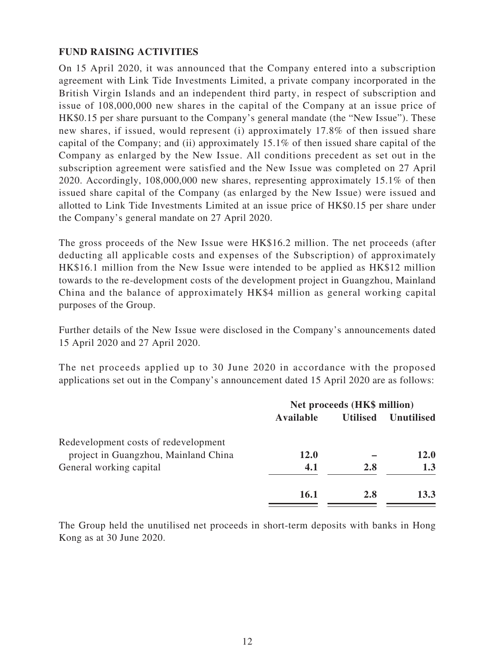### **FUND RAISING ACTIVITIES**

On 15 April 2020, it was announced that the Company entered into a subscription agreement with Link Tide Investments Limited, a private company incorporated in the British Virgin Islands and an independent third party, in respect of subscription and issue of 108,000,000 new shares in the capital of the Company at an issue price of HK\$0.15 per share pursuant to the Company's general mandate (the "New Issue"). These new shares, if issued, would represent (i) approximately 17.8% of then issued share capital of the Company; and (ii) approximately 15.1% of then issued share capital of the Company as enlarged by the New Issue. All conditions precedent as set out in the subscription agreement were satisfied and the New Issue was completed on 27 April 2020. Accordingly, 108,000,000 new shares, representing approximately 15.1% of then issued share capital of the Company (as enlarged by the New Issue) were issued and allotted to Link Tide Investments Limited at an issue price of HK\$0.15 per share under the Company's general mandate on 27 April 2020.

The gross proceeds of the New Issue were HK\$16.2 million. The net proceeds (after deducting all applicable costs and expenses of the Subscription) of approximately HK\$16.1 million from the New Issue were intended to be applied as HK\$12 million towards to the re-development costs of the development project in Guangzhou, Mainland China and the balance of approximately HK\$4 million as general working capital purposes of the Group.

Further details of the New Issue were disclosed in the Company's announcements dated 15 April 2020 and 27 April 2020.

The net proceeds applied up to 30 June 2020 in accordance with the proposed applications set out in the Company's announcement dated 15 April 2020 are as follows:

|             | Net proceeds (HK\$ million) |                   |  |
|-------------|-----------------------------|-------------------|--|
|             | <b>Utilised</b>             | <b>Unutilised</b> |  |
|             |                             |                   |  |
| <b>12.0</b> |                             | <b>12.0</b>       |  |
| 4.1         | 2.8                         | 1.3               |  |
| <b>16.1</b> | 2.8                         | 13.3              |  |
|             | Available                   |                   |  |

The Group held the unutilised net proceeds in short-term deposits with banks in Hong Kong as at 30 June 2020.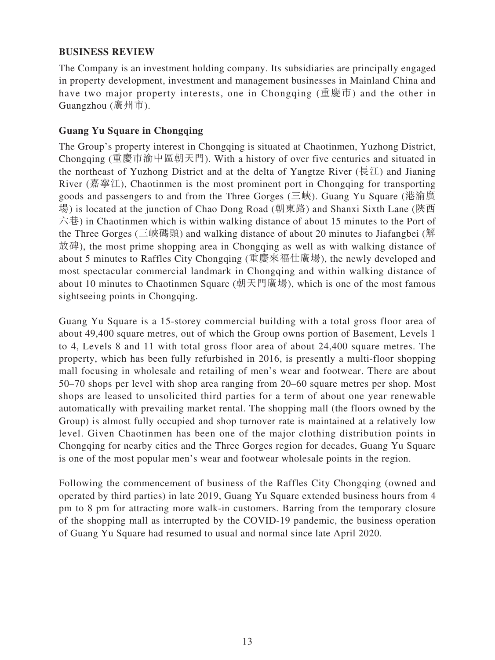### **BUSINESS REVIEW**

The Company is an investment holding company. Its subsidiaries are principally engaged in property development, investment and management businesses in Mainland China and have two major property interests, one in Chongqing (重慶市) and the other in Guangzhou (廣州市).

### **Guang Yu Square in Chongqing**

The Group's property interest in Chongqing is situated at Chaotinmen, Yuzhong District, Chongqing (重慶市渝中區朝天門). With a history of over five centuries and situated in the northeast of Yuzhong District and at the delta of Yangtze River ( $\overline{\mathbb{R}}\mathbb{Z}$ ) and Jianing River (嘉寧江), Chaotinmen is the most prominent port in Chongqing for transporting goods and passengers to and from the Three Gorges (三峽). Guang Yu Square (港渝廣 場) is located at the junction of Chao Dong Road (朝東路) and Shanxi Sixth Lane (陝西 六巷) in Chaotinmen which is within walking distance of about 15 minutes to the Port of the Three Gorges (三峽碼頭) and walking distance of about 20 minutes to Jiafangbei (解 放碑), the most prime shopping area in Chongqing as well as with walking distance of about 5 minutes to Raffles City Chongqing (重慶來福仕廣場), the newly developed and most spectacular commercial landmark in Chongqing and within walking distance of about 10 minutes to Chaotinmen Square (朝天門廣場), which is one of the most famous sightseeing points in Chongqing.

Guang Yu Square is a 15-storey commercial building with a total gross floor area of about 49,400 square metres, out of which the Group owns portion of Basement, Levels 1 to 4, Levels 8 and 11 with total gross floor area of about 24,400 square metres. The property, which has been fully refurbished in 2016, is presently a multi-floor shopping mall focusing in wholesale and retailing of men's wear and footwear. There are about 50–70 shops per level with shop area ranging from 20–60 square metres per shop. Most shops are leased to unsolicited third parties for a term of about one year renewable automatically with prevailing market rental. The shopping mall (the floors owned by the Group) is almost fully occupied and shop turnover rate is maintained at a relatively low level. Given Chaotinmen has been one of the major clothing distribution points in Chongqing for nearby cities and the Three Gorges region for decades, Guang Yu Square is one of the most popular men's wear and footwear wholesale points in the region.

Following the commencement of business of the Raffles City Chongqing (owned and operated by third parties) in late 2019, Guang Yu Square extended business hours from 4 pm to 8 pm for attracting more walk-in customers. Barring from the temporary closure of the shopping mall as interrupted by the COVID-19 pandemic, the business operation of Guang Yu Square had resumed to usual and normal since late April 2020.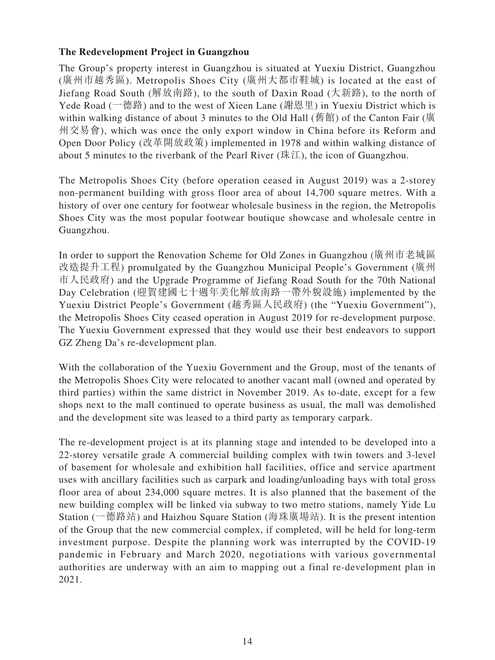### **The Redevelopment Project in Guangzhou**

The Group's property interest in Guangzhou is situated at Yuexiu District, Guangzhou (廣州市越秀區). Metropolis Shoes City (廣州大都市鞋城) is located at the east of Jiefang Road South (解放南路), to the south of Daxin Road (大新路), to the north of Yede Road (一德路) and to the west of Xieen Lane (謝恩里) in Yuexiu District which is within walking distance of about 3 minutes to the Old Hall (舊館) of the Canton Fair (廣 州交易會), which was once the only export window in China before its Reform and Open Door Policy (改革開放政策) implemented in 1978 and within walking distance of about 5 minutes to the riverbank of the Pearl River (珠江), the icon of Guangzhou.

The Metropolis Shoes City (before operation ceased in August 2019) was a 2-storey non-permanent building with gross floor area of about 14,700 square metres. With a history of over one century for footwear wholesale business in the region, the Metropolis Shoes City was the most popular footwear boutique showcase and wholesale centre in Guangzhou.

In order to support the Renovation Scheme for Old Zones in Guangzhou (廣州市老城區 改造提升工程) promulgated by the Guangzhou Municipal People's Government (廣州 市人民政府) and the Upgrade Programme of Jiefang Road South for the 70th National Day Celebration (迎賀建國七十週年美化解放南路一帶外貌設施) implemented by the Yuexiu District People's Government (越秀區人民政府) (the "Yuexiu Government"), the Metropolis Shoes City ceased operation in August 2019 for re-development purpose. The Yuexiu Government expressed that they would use their best endeavors to support GZ Zheng Da's re-development plan.

With the collaboration of the Yuexiu Government and the Group, most of the tenants of the Metropolis Shoes City were relocated to another vacant mall (owned and operated by third parties) within the same district in November 2019. As to-date, except for a few shops next to the mall continued to operate business as usual, the mall was demolished and the development site was leased to a third party as temporary carpark.

The re-development project is at its planning stage and intended to be developed into a 22-storey versatile grade A commercial building complex with twin towers and 3-level of basement for wholesale and exhibition hall facilities, office and service apartment uses with ancillary facilities such as carpark and loading/unloading bays with total gross floor area of about 234,000 square metres. It is also planned that the basement of the new building complex will be linked via subway to two metro stations, namely Yide Lu Station (一德路站) and Haizhou Square Station (海珠廣場站). It is the present intention of the Group that the new commercial complex, if completed, will be held for long-term investment purpose. Despite the planning work was interrupted by the COVID-19 pandemic in February and March 2020, negotiations with various governmental authorities are underway with an aim to mapping out a final re-development plan in 2021.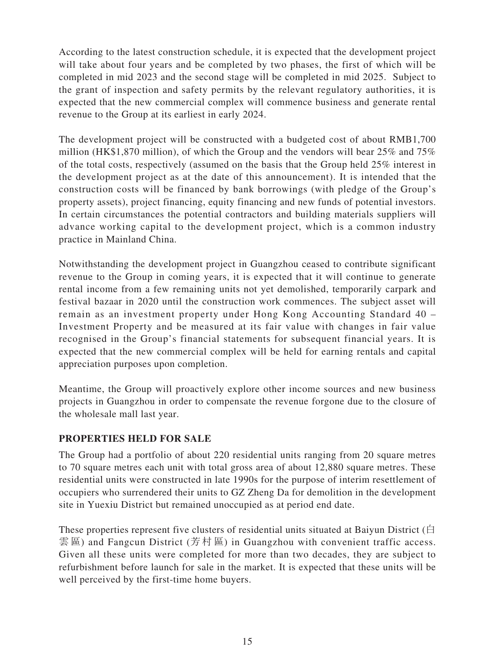According to the latest construction schedule, it is expected that the development project will take about four years and be completed by two phases, the first of which will be completed in mid 2023 and the second stage will be completed in mid 2025. Subject to the grant of inspection and safety permits by the relevant regulatory authorities, it is expected that the new commercial complex will commence business and generate rental revenue to the Group at its earliest in early 2024.

The development project will be constructed with a budgeted cost of about RMB1,700 million (HK\$1,870 million), of which the Group and the vendors will bear 25% and 75% of the total costs, respectively (assumed on the basis that the Group held 25% interest in the development project as at the date of this announcement). It is intended that the construction costs will be financed by bank borrowings (with pledge of the Group's property assets), project financing, equity financing and new funds of potential investors. In certain circumstances the potential contractors and building materials suppliers will advance working capital to the development project, which is a common industry practice in Mainland China.

Notwithstanding the development project in Guangzhou ceased to contribute significant revenue to the Group in coming years, it is expected that it will continue to generate rental income from a few remaining units not yet demolished, temporarily carpark and festival bazaar in 2020 until the construction work commences. The subject asset will remain as an investment property under Hong Kong Accounting Standard 40 – Investment Property and be measured at its fair value with changes in fair value recognised in the Group's financial statements for subsequent financial years. It is expected that the new commercial complex will be held for earning rentals and capital appreciation purposes upon completion.

Meantime, the Group will proactively explore other income sources and new business projects in Guangzhou in order to compensate the revenue forgone due to the closure of the wholesale mall last year.

### **PROPERTIES HELD FOR SALE**

The Group had a portfolio of about 220 residential units ranging from 20 square metres to 70 square metres each unit with total gross area of about 12,880 square metres. These residential units were constructed in late 1990s for the purpose of interim resettlement of occupiers who surrendered their units to GZ Zheng Da for demolition in the development site in Yuexiu District but remained unoccupied as at period end date.

These properties represent five clusters of residential units situated at Baiyun District ( $\dot{\boxminus}$ 雲 區) and Fangcun District (芳村區) in Guangzhou with convenient traffic access. Given all these units were completed for more than two decades, they are subject to refurbishment before launch for sale in the market. It is expected that these units will be well perceived by the first-time home buyers.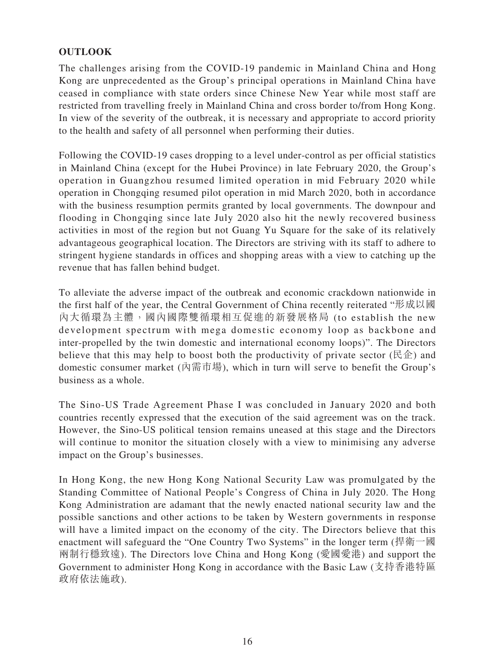# **OUTLOOK**

The challenges arising from the COVID-19 pandemic in Mainland China and Hong Kong are unprecedented as the Group's principal operations in Mainland China have ceased in compliance with state orders since Chinese New Year while most staff are restricted from travelling freely in Mainland China and cross border to/from Hong Kong. In view of the severity of the outbreak, it is necessary and appropriate to accord priority to the health and safety of all personnel when performing their duties.

Following the COVID-19 cases dropping to a level under-control as per official statistics in Mainland China (except for the Hubei Province) in late February 2020, the Group's operation in Guangzhou resumed limited operation in mid February 2020 while operation in Chongqing resumed pilot operation in mid March 2020, both in accordance with the business resumption permits granted by local governments. The downpour and flooding in Chongqing since late July 2020 also hit the newly recovered business activities in most of the region but not Guang Yu Square for the sake of its relatively advantageous geographical location. The Directors are striving with its staff to adhere to stringent hygiene standards in offices and shopping areas with a view to catching up the revenue that has fallen behind budget.

To alleviate the adverse impact of the outbreak and economic crackdown nationwide in the first half of the year, the Central Government of China recently reiterated "形成以國 內大循環為主體,國內國際雙循環相互促進的新發展格局 (to establish the new development spectrum with mega domestic economy loop as backbone and inter-propelled by the twin domestic and international economy loops)". The Directors believe that this may help to boost both the productivity of private sector ( $\mathbb{R}\hat{\Phi}$ ) and domestic consumer market (內需市場), which in turn will serve to benefit the Group's business as a whole.

The Sino-US Trade Agreement Phase I was concluded in January 2020 and both countries recently expressed that the execution of the said agreement was on the track. However, the Sino-US political tension remains uneased at this stage and the Directors will continue to monitor the situation closely with a view to minimising any adverse impact on the Group's businesses.

In Hong Kong, the new Hong Kong National Security Law was promulgated by the Standing Committee of National People's Congress of China in July 2020. The Hong Kong Administration are adamant that the newly enacted national security law and the possible sanctions and other actions to be taken by Western governments in response will have a limited impact on the economy of the city. The Directors believe that this enactment will safeguard the "One Country Two Systems" in the longer term (捍衛一國 兩制行穩致遠). The Directors love China and Hong Kong (愛國愛港) and support the Government to administer Hong Kong in accordance with the Basic Law (支持香港特區 政府依法施政).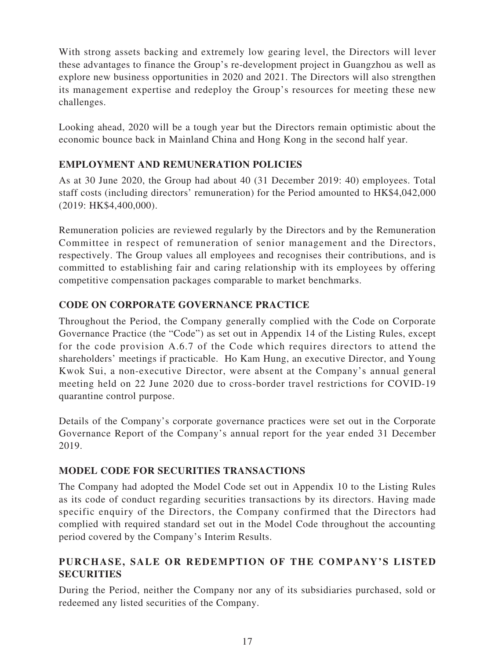With strong assets backing and extremely low gearing level, the Directors will lever these advantages to finance the Group's re-development project in Guangzhou as well as explore new business opportunities in 2020 and 2021. The Directors will also strengthen its management expertise and redeploy the Group's resources for meeting these new challenges.

Looking ahead, 2020 will be a tough year but the Directors remain optimistic about the economic bounce back in Mainland China and Hong Kong in the second half year.

# **EMPLOYMENT AND REMUNERATION POLICIES**

As at 30 June 2020, the Group had about 40 (31 December 2019: 40) employees. Total staff costs (including directors' remuneration) for the Period amounted to HK\$4,042,000 (2019: HK\$4,400,000).

Remuneration policies are reviewed regularly by the Directors and by the Remuneration Committee in respect of remuneration of senior management and the Directors, respectively. The Group values all employees and recognises their contributions, and is committed to establishing fair and caring relationship with its employees by offering competitive compensation packages comparable to market benchmarks.

# **CODE ON CORPORATE GOVERNANCE PRACTICE**

Throughout the Period, the Company generally complied with the Code on Corporate Governance Practice (the "Code") as set out in Appendix 14 of the Listing Rules, except for the code provision A.6.7 of the Code which requires directors to attend the shareholders' meetings if practicable. Ho Kam Hung, an executive Director, and Young Kwok Sui, a non-executive Director, were absent at the Company's annual general meeting held on 22 June 2020 due to cross-border travel restrictions for COVID-19 quarantine control purpose.

Details of the Company's corporate governance practices were set out in the Corporate Governance Report of the Company's annual report for the year ended 31 December 2019.

# **MODEL CODE FOR SECURITIES TRANSACTIONS**

The Company had adopted the Model Code set out in Appendix 10 to the Listing Rules as its code of conduct regarding securities transactions by its directors. Having made specific enquiry of the Directors, the Company confirmed that the Directors had complied with required standard set out in the Model Code throughout the accounting period covered by the Company's Interim Results.

# **PURCHASE, SALE OR REDEMPTION OF THE COMPANY'S LISTED SECURITIES**

During the Period, neither the Company nor any of its subsidiaries purchased, sold or redeemed any listed securities of the Company.